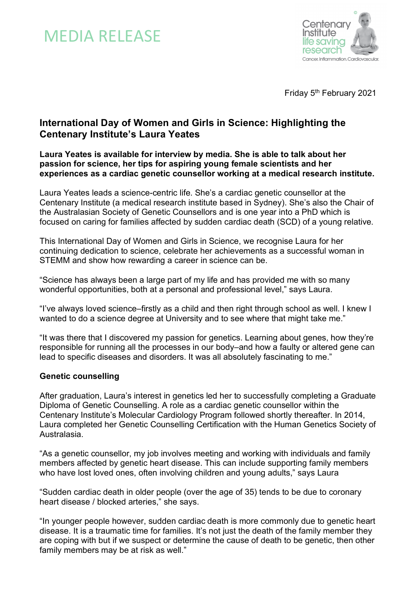



Friday 5<sup>th</sup> February 2021

# **International Day of Women and Girls in Science: Highlighting the Centenary Institute's Laura Yeates**

## **Laura Yeates is available for interview by media. She is able to talk about her passion for science, her tips for aspiring young female scientists and her experiences as a cardiac genetic counsellor working at a medical research institute.**

Laura Yeates leads a science-centric life. She's a cardiac genetic counsellor at the Centenary Institute (a medical research institute based in Sydney). She's also the Chair of the Australasian Society of Genetic Counsellors and is one year into a PhD which is focused on caring for families affected by sudden cardiac death (SCD) of a young relative.

This International Day of Women and Girls in Science, we recognise Laura for her continuing dedication to science, celebrate her achievements as a successful woman in STEMM and show how rewarding a career in science can be.

"Science has always been a large part of my life and has provided me with so many wonderful opportunities, both at a personal and professional level," says Laura.

"I've always loved science–firstly as a child and then right through school as well. I knew I wanted to do a science degree at University and to see where that might take me."

"It was there that I discovered my passion for genetics. Learning about genes, how they're responsible for running all the processes in our body–and how a faulty or altered gene can lead to specific diseases and disorders. It was all absolutely fascinating to me."

## **Genetic counselling**

After graduation, Laura's interest in genetics led her to successfully completing a Graduate Diploma of Genetic Counselling. A role as a cardiac genetic counsellor within the Centenary Institute's Molecular Cardiology Program followed shortly thereafter. In 2014, Laura completed her Genetic Counselling Certification with the Human Genetics Society of Australasia.

"As a genetic counsellor, my job involves meeting and working with individuals and family members affected by genetic heart disease. This can include supporting family members who have lost loved ones, often involving children and young adults," says Laura

"Sudden cardiac death in older people (over the age of 35) tends to be due to coronary heart disease / blocked arteries," she says.

"In younger people however, sudden cardiac death is more commonly due to genetic heart disease. It is a traumatic time for families. It's not just the death of the family member they are coping with but if we suspect or determine the cause of death to be genetic, then other family members may be at risk as well."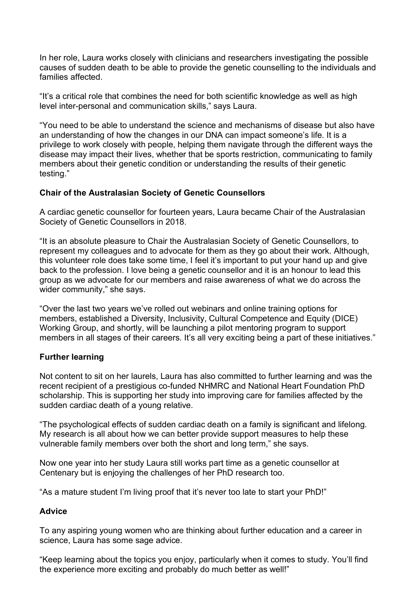In her role, Laura works closely with clinicians and researchers investigating the possible causes of sudden death to be able to provide the genetic counselling to the individuals and families affected.

"It's a critical role that combines the need for both scientific knowledge as well as high level inter-personal and communication skills," says Laura.

"You need to be able to understand the science and mechanisms of disease but also have an understanding of how the changes in our DNA can impact someone's life. It is a privilege to work closely with people, helping them navigate through the different ways the disease may impact their lives, whether that be sports restriction, communicating to family members about their genetic condition or understanding the results of their genetic testing."

## **Chair of the Australasian Society of Genetic Counsellors**

A cardiac genetic counsellor for fourteen years, Laura became Chair of the Australasian Society of Genetic Counsellors in 2018.

"It is an absolute pleasure to Chair the Australasian Society of Genetic Counsellors, to represent my colleagues and to advocate for them as they go about their work. Although, this volunteer role does take some time, I feel it's important to put your hand up and give back to the profession. I love being a genetic counsellor and it is an honour to lead this group as we advocate for our members and raise awareness of what we do across the wider community," she says.

"Over the last two years we've rolled out webinars and online training options for members, established a Diversity, Inclusivity, Cultural Competence and Equity (DICE) Working Group, and shortly, will be launching a pilot mentoring program to support members in all stages of their careers. It's all very exciting being a part of these initiatives."

## **Further learning**

Not content to sit on her laurels, Laura has also committed to further learning and was the recent recipient of a prestigious co-funded NHMRC and National Heart Foundation PhD scholarship. This is supporting her study into improving care for families affected by the sudden cardiac death of a young relative.

"The psychological effects of sudden cardiac death on a family is significant and lifelong. My research is all about how we can better provide support measures to help these vulnerable family members over both the short and long term," she says.

Now one year into her study Laura still works part time as a genetic counsellor at Centenary but is enjoying the challenges of her PhD research too.

"As a mature student I'm living proof that it's never too late to start your PhD!"

## **Advice**

To any aspiring young women who are thinking about further education and a career in science, Laura has some sage advice.

"Keep learning about the topics you enjoy, particularly when it comes to study. You'll find the experience more exciting and probably do much better as well!"